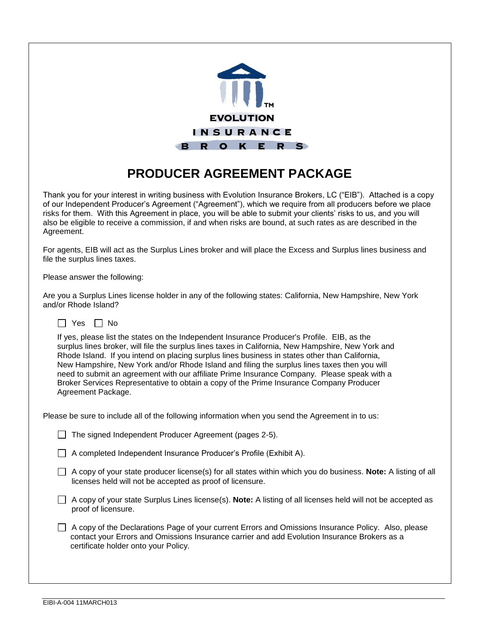

# **PRODUCER AGREEMENT PACKAGE**

Thank you for your interest in writing business with Evolution Insurance Brokers, LC ("EIB"). Attached is a copy of our Independent Producer's Agreement ("Agreement"), which we require from all producers before we place risks for them. With this Agreement in place, you will be able to submit your clients' risks to us, and you will also be eligible to receive a commission, if and when risks are bound, at such rates as are described in the Agreement.

For agents, EIB will act as the Surplus Lines broker and will place the Excess and Surplus lines business and file the surplus lines taxes.

Please answer the following:

Are you a Surplus Lines license holder in any of the following states: California, New Hampshire, New York and/or Rhode Island?



If yes, please list the states on the Independent Insurance Producer's Profile. EIB, as the surplus lines broker, will file the surplus lines taxes in California, New Hampshire, New York and Rhode Island. If you intend on placing surplus lines business in states other than California, New Hampshire, New York and/or Rhode Island and filing the surplus lines taxes then you will need to submit an agreement with our affiliate Prime Insurance Company. Please speak with a Broker Services Representative to obtain a copy of the Prime Insurance Company Producer Agreement Package.

Please be sure to include all of the following information when you send the Agreement in to us:

 $\Box$  The signed Independent Producer Agreement (pages 2-5).

A completed Independent Insurance Producer's Profile (Exhibit A).

A copy of your state producer license(s) for all states within which you do business. **Note:** A listing of all licenses held will not be accepted as proof of licensure.

A copy of your state Surplus Lines license(s). **Note:** A listing of all licenses held will not be accepted as proof of licensure.

 $\Box$  A copy of the Declarations Page of your current Errors and Omissions Insurance Policy. Also, please contact your Errors and Omissions Insurance carrier and add Evolution Insurance Brokers as a certificate holder onto your Policy.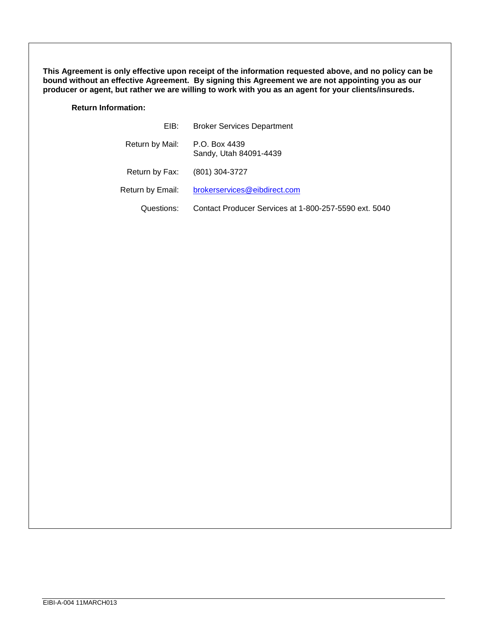**This Agreement is only effective upon receipt of the information requested above, and no policy can be bound without an effective Agreement. By signing this Agreement we are not appointing you as our producer or agent, but rather we are willing to work with you as an agent for your clients/insureds.** 

**Return Information:**

| EIB:             | <b>Broker Services Department</b>                     |  |  |  |  |
|------------------|-------------------------------------------------------|--|--|--|--|
| Return by Mail:  | P.O. Box 4439<br>Sandy, Utah 84091-4439               |  |  |  |  |
| Return by Fax:   | (801) 304-3727                                        |  |  |  |  |
| Return by Email: | brokerservices@eibdirect.com                          |  |  |  |  |
| Questions:       | Contact Producer Services at 1-800-257-5590 ext. 5040 |  |  |  |  |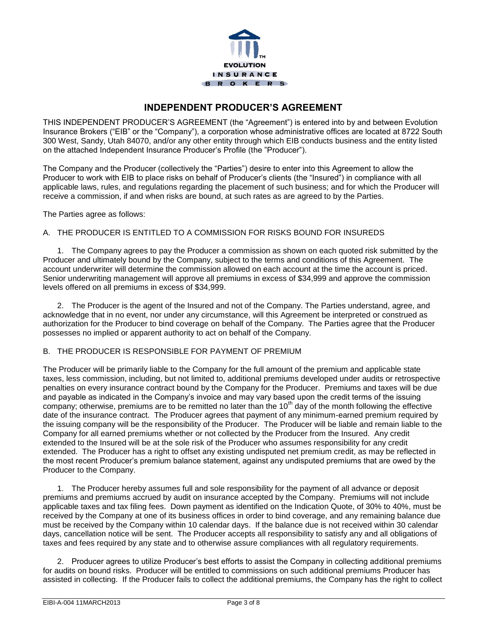

### **INDEPENDENT PRODUCER'S AGREEMENT**

THIS INDEPENDENT PRODUCER'S AGREEMENT (the "Agreement") is entered into by and between Evolution Insurance Brokers ("EIB" or the "Company"), a corporation whose administrative offices are located at 8722 South 300 West, Sandy, Utah 84070, and/or any other entity through which EIB conducts business and the entity listed on the attached Independent Insurance Producer's Profile (the "Producer").

The Company and the Producer (collectively the "Parties") desire to enter into this Agreement to allow the Producer to work with EIB to place risks on behalf of Producer's clients (the "Insured") in compliance with all applicable laws, rules, and regulations regarding the placement of such business; and for which the Producer will receive a commission, if and when risks are bound, at such rates as are agreed to by the Parties.

The Parties agree as follows:

#### A. THE PRODUCER IS ENTITLED TO A COMMISSION FOR RISKS BOUND FOR INSUREDS

1. The Company agrees to pay the Producer a commission as shown on each quoted risk submitted by the Producer and ultimately bound by the Company, subject to the terms and conditions of this Agreement. The account underwriter will determine the commission allowed on each account at the time the account is priced. Senior underwriting management will approve all premiums in excess of \$34,999 and approve the commission levels offered on all premiums in excess of \$34,999.

2. The Producer is the agent of the Insured and not of the Company. The Parties understand, agree, and acknowledge that in no event, nor under any circumstance, will this Agreement be interpreted or construed as authorization for the Producer to bind coverage on behalf of the Company. The Parties agree that the Producer possesses no implied or apparent authority to act on behalf of the Company.

#### B. THE PRODUCER IS RESPONSIBLE FOR PAYMENT OF PREMIUM

The Producer will be primarily liable to the Company for the full amount of the premium and applicable state taxes, less commission, including, but not limited to, additional premiums developed under audits or retrospective penalties on every insurance contract bound by the Company for the Producer. Premiums and taxes will be due and payable as indicated in the Company's invoice and may vary based upon the credit terms of the issuing company; otherwise, premiums are to be remitted no later than the 10<sup>th</sup> day of the month following the effective date of the insurance contract. The Producer agrees that payment of any minimum-earned premium required by the issuing company will be the responsibility of the Producer. The Producer will be liable and remain liable to the Company for all earned premiums whether or not collected by the Producer from the Insured. Any credit extended to the Insured will be at the sole risk of the Producer who assumes responsibility for any credit extended. The Producer has a right to offset any existing undisputed net premium credit, as may be reflected in the most recent Producer's premium balance statement, against any undisputed premiums that are owed by the Producer to the Company.

1. The Producer hereby assumes full and sole responsibility for the payment of all advance or deposit premiums and premiums accrued by audit on insurance accepted by the Company. Premiums will not include applicable taxes and tax filing fees. Down payment as identified on the Indication Quote, of 30% to 40%, must be received by the Company at one of its business offices in order to bind coverage, and any remaining balance due must be received by the Company within 10 calendar days. If the balance due is not received within 30 calendar days, cancellation notice will be sent. The Producer accepts all responsibility to satisfy any and all obligations of taxes and fees required by any state and to otherwise assure compliances with all regulatory requirements.

2. Producer agrees to utilize Producer's best efforts to assist the Company in collecting additional premiums for audits on bound risks. Producer will be entitled to commissions on such additional premiums Producer has assisted in collecting. If the Producer fails to collect the additional premiums, the Company has the right to collect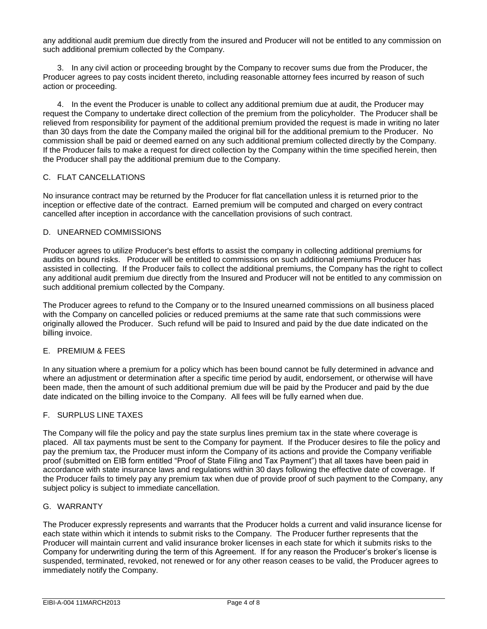any additional audit premium due directly from the insured and Producer will not be entitled to any commission on such additional premium collected by the Company.

3. In any civil action or proceeding brought by the Company to recover sums due from the Producer, the Producer agrees to pay costs incident thereto, including reasonable attorney fees incurred by reason of such action or proceeding.

4. In the event the Producer is unable to collect any additional premium due at audit, the Producer may request the Company to undertake direct collection of the premium from the policyholder. The Producer shall be relieved from responsibility for payment of the additional premium provided the request is made in writing no later than 30 days from the date the Company mailed the original bill for the additional premium to the Producer. No commission shall be paid or deemed earned on any such additional premium collected directly by the Company. If the Producer fails to make a request for direct collection by the Company within the time specified herein, then the Producer shall pay the additional premium due to the Company.

#### C. FLAT CANCELLATIONS

No insurance contract may be returned by the Producer for flat cancellation unless it is returned prior to the inception or effective date of the contract. Earned premium will be computed and charged on every contract cancelled after inception in accordance with the cancellation provisions of such contract.

#### D. UNEARNED COMMISSIONS

Producer agrees to utilize Producer's best efforts to assist the company in collecting additional premiums for audits on bound risks. Producer will be entitled to commissions on such additional premiums Producer has assisted in collecting. If the Producer fails to collect the additional premiums, the Company has the right to collect any additional audit premium due directly from the Insured and Producer will not be entitled to any commission on such additional premium collected by the Company.

The Producer agrees to refund to the Company or to the Insured unearned commissions on all business placed with the Company on cancelled policies or reduced premiums at the same rate that such commissions were originally allowed the Producer. Such refund will be paid to Insured and paid by the due date indicated on the billing invoice.

#### E. PREMIUM & FEES

In any situation where a premium for a policy which has been bound cannot be fully determined in advance and where an adjustment or determination after a specific time period by audit, endorsement, or otherwise will have been made, then the amount of such additional premium due will be paid by the Producer and paid by the due date indicated on the billing invoice to the Company. All fees will be fully earned when due.

#### F. SURPLUS LINE TAXES

The Company will file the policy and pay the state surplus lines premium tax in the state where coverage is placed. All tax payments must be sent to the Company for payment. If the Producer desires to file the policy and pay the premium tax, the Producer must inform the Company of its actions and provide the Company verifiable proof (submitted on EIB form entitled "Proof of State Filing and Tax Payment") that all taxes have been paid in accordance with state insurance laws and regulations within 30 days following the effective date of coverage. If the Producer fails to timely pay any premium tax when due of provide proof of such payment to the Company, any subject policy is subject to immediate cancellation.

#### G. WARRANTY

The Producer expressly represents and warrants that the Producer holds a current and valid insurance license for each state within which it intends to submit risks to the Company. The Producer further represents that the Producer will maintain current and valid insurance broker licenses in each state for which it submits risks to the Company for underwriting during the term of this Agreement. If for any reason the Producer's broker's license is suspended, terminated, revoked, not renewed or for any other reason ceases to be valid, the Producer agrees to immediately notify the Company.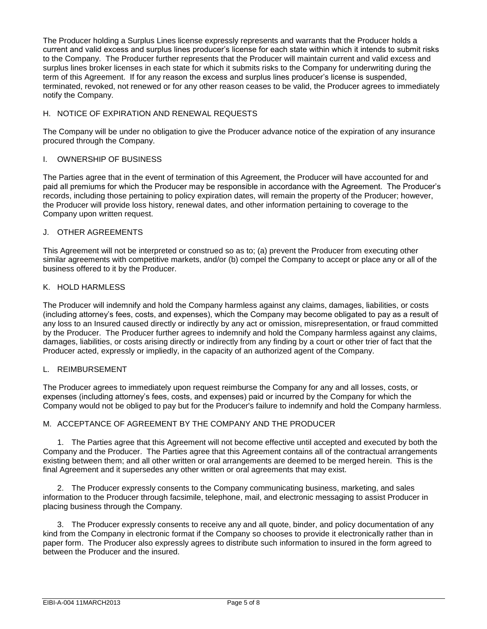The Producer holding a Surplus Lines license expressly represents and warrants that the Producer holds a current and valid excess and surplus lines producer's license for each state within which it intends to submit risks to the Company. The Producer further represents that the Producer will maintain current and valid excess and surplus lines broker licenses in each state for which it submits risks to the Company for underwriting during the term of this Agreement. If for any reason the excess and surplus lines producer's license is suspended, terminated, revoked, not renewed or for any other reason ceases to be valid, the Producer agrees to immediately notify the Company.

#### H. NOTICE OF EXPIRATION AND RENEWAL REQUESTS

The Company will be under no obligation to give the Producer advance notice of the expiration of any insurance procured through the Company.

#### I. OWNERSHIP OF BUSINESS

The Parties agree that in the event of termination of this Agreement, the Producer will have accounted for and paid all premiums for which the Producer may be responsible in accordance with the Agreement. The Producer's records, including those pertaining to policy expiration dates, will remain the property of the Producer; however, the Producer will provide loss history, renewal dates, and other information pertaining to coverage to the Company upon written request.

#### J. OTHER AGREEMENTS

This Agreement will not be interpreted or construed so as to; (a) prevent the Producer from executing other similar agreements with competitive markets, and/or (b) compel the Company to accept or place any or all of the business offered to it by the Producer.

#### K. HOLD HARMLESS

The Producer will indemnify and hold the Company harmless against any claims, damages, liabilities, or costs (including attorney's fees, costs, and expenses), which the Company may become obligated to pay as a result of any loss to an Insured caused directly or indirectly by any act or omission, misrepresentation, or fraud committed by the Producer. The Producer further agrees to indemnify and hold the Company harmless against any claims, damages, liabilities, or costs arising directly or indirectly from any finding by a court or other trier of fact that the Producer acted, expressly or impliedly, in the capacity of an authorized agent of the Company.

#### L. REIMBURSEMENT

The Producer agrees to immediately upon request reimburse the Company for any and all losses, costs, or expenses (including attorney's fees, costs, and expenses) paid or incurred by the Company for which the Company would not be obliged to pay but for the Producer's failure to indemnify and hold the Company harmless.

#### M. ACCEPTANCE OF AGREEMENT BY THE COMPANY AND THE PRODUCER

1. The Parties agree that this Agreement will not become effective until accepted and executed by both the Company and the Producer. The Parties agree that this Agreement contains all of the contractual arrangements existing between them; and all other written or oral arrangements are deemed to be merged herein. This is the final Agreement and it supersedes any other written or oral agreements that may exist.

2. The Producer expressly consents to the Company communicating business, marketing, and sales information to the Producer through facsimile, telephone, mail, and electronic messaging to assist Producer in placing business through the Company.

3. The Producer expressly consents to receive any and all quote, binder, and policy documentation of any kind from the Company in electronic format if the Company so chooses to provide it electronically rather than in paper form. The Producer also expressly agrees to distribute such information to insured in the form agreed to between the Producer and the insured.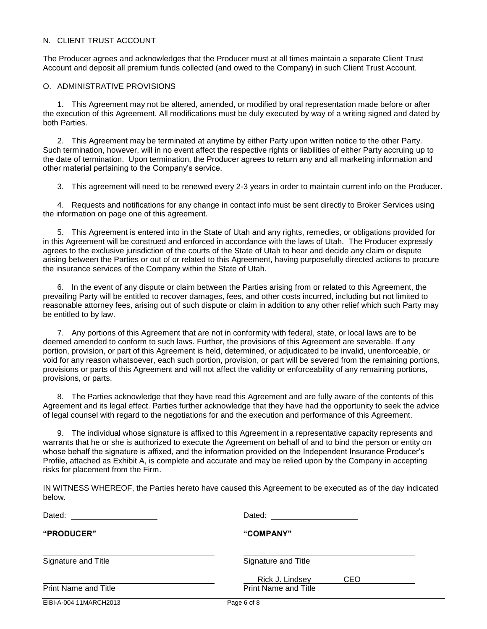#### N. CLIENT TRUST ACCOUNT

The Producer agrees and acknowledges that the Producer must at all times maintain a separate Client Trust Account and deposit all premium funds collected (and owed to the Company) in such Client Trust Account.

#### O. ADMINISTRATIVE PROVISIONS

1. This Agreement may not be altered, amended, or modified by oral representation made before or after the execution of this Agreement. All modifications must be duly executed by way of a writing signed and dated by both Parties.

2. This Agreement may be terminated at anytime by either Party upon written notice to the other Party. Such termination, however, will in no event affect the respective rights or liabilities of either Party accruing up to the date of termination. Upon termination, the Producer agrees to return any and all marketing information and other material pertaining to the Company's service.

3. This agreement will need to be renewed every 2-3 years in order to maintain current info on the Producer.

4. Requests and notifications for any change in contact info must be sent directly to Broker Services using the information on page one of this agreement.

5. This Agreement is entered into in the State of Utah and any rights, remedies, or obligations provided for in this Agreement will be construed and enforced in accordance with the laws of Utah. The Producer expressly agrees to the exclusive jurisdiction of the courts of the State of Utah to hear and decide any claim or dispute arising between the Parties or out of or related to this Agreement, having purposefully directed actions to procure the insurance services of the Company within the State of Utah.

6. In the event of any dispute or claim between the Parties arising from or related to this Agreement, the prevailing Party will be entitled to recover damages, fees, and other costs incurred, including but not limited to reasonable attorney fees, arising out of such dispute or claim in addition to any other relief which such Party may be entitled to by law.

7. Any portions of this Agreement that are not in conformity with federal, state, or local laws are to be deemed amended to conform to such laws. Further, the provisions of this Agreement are severable. If any portion, provision, or part of this Agreement is held, determined, or adjudicated to be invalid, unenforceable, or void for any reason whatsoever, each such portion, provision, or part will be severed from the remaining portions, provisions or parts of this Agreement and will not affect the validity or enforceability of any remaining portions, provisions, or parts.

8. The Parties acknowledge that they have read this Agreement and are fully aware of the contents of this Agreement and its legal effect. Parties further acknowledge that they have had the opportunity to seek the advice of legal counsel with regard to the negotiations for and the execution and performance of this Agreement.

9. The individual whose signature is affixed to this Agreement in a representative capacity represents and warrants that he or she is authorized to execute the Agreement on behalf of and to bind the person or entity on whose behalf the signature is affixed, and the information provided on the Independent Insurance Producer's Profile, attached as Exhibit A, is complete and accurate and may be relied upon by the Company in accepting risks for placement from the Firm.

IN WITNESS WHEREOF, the Parties hereto have caused this Agreement to be executed as of the day indicated below.

| Dated:                      | Dated:                      |
|-----------------------------|-----------------------------|
| "PRODUCER"                  | "COMPANY"                   |
| Signature and Title         | Signature and Title         |
|                             | Rick J. Lindsey<br>CEO      |
| <b>Print Name and Title</b> | <b>Print Name and Title</b> |
| EIBI-A-004 11MARCH2013      | Page 6 of 8                 |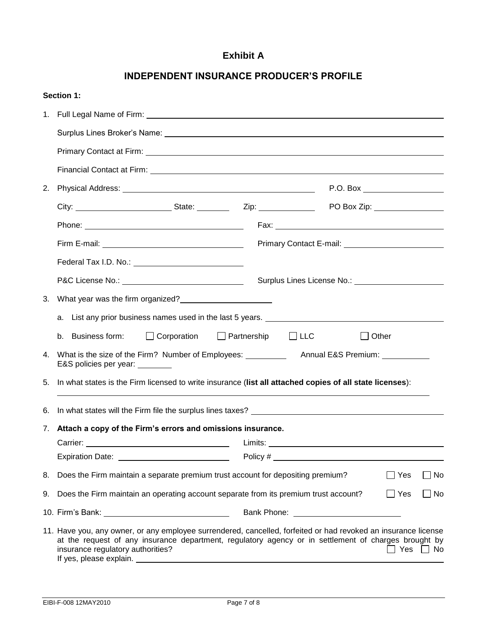## **Exhibit A**

|    | <b>Section 1:</b>                                                                                                                                                                                                                                           |                                                                                                                      |  |            |  |       |       |  |  |
|----|-------------------------------------------------------------------------------------------------------------------------------------------------------------------------------------------------------------------------------------------------------------|----------------------------------------------------------------------------------------------------------------------|--|------------|--|-------|-------|--|--|
|    |                                                                                                                                                                                                                                                             |                                                                                                                      |  |            |  |       |       |  |  |
|    |                                                                                                                                                                                                                                                             |                                                                                                                      |  |            |  |       |       |  |  |
|    |                                                                                                                                                                                                                                                             |                                                                                                                      |  |            |  |       |       |  |  |
|    |                                                                                                                                                                                                                                                             |                                                                                                                      |  |            |  |       |       |  |  |
| 2. |                                                                                                                                                                                                                                                             |                                                                                                                      |  |            |  |       |       |  |  |
|    |                                                                                                                                                                                                                                                             |                                                                                                                      |  |            |  |       |       |  |  |
|    |                                                                                                                                                                                                                                                             |                                                                                                                      |  |            |  |       |       |  |  |
|    |                                                                                                                                                                                                                                                             |                                                                                                                      |  |            |  |       |       |  |  |
|    |                                                                                                                                                                                                                                                             |                                                                                                                      |  |            |  |       |       |  |  |
|    |                                                                                                                                                                                                                                                             | Surplus Lines License No.: Surplus Lines License No.:                                                                |  |            |  |       |       |  |  |
| 3. | What year was the firm organized?<br><u>[</u> [16] Matter was the firm organized?<br>[16] Matter was the firm organized?<br>[26] Matter was the firm organized?<br>[26] Matter was the firm organized?<br>[26] Matter was the firm organized?<br>           |                                                                                                                      |  |            |  |       |       |  |  |
|    | a. List any prior business names used in the last 5 years. <u>The manus of the set of the set of the set of the set</u>                                                                                                                                     |                                                                                                                      |  |            |  |       |       |  |  |
|    | b. Business form:<br>$\Box$ Corporation                                                                                                                                                                                                                     | $\Box$ Partnership                                                                                                   |  | $\Box$ LLC |  | Other |       |  |  |
|    | E&S policies per year: ________                                                                                                                                                                                                                             |                                                                                                                      |  |            |  |       |       |  |  |
| 5. | In what states is the Firm licensed to write insurance (list all attached copies of all state licenses):                                                                                                                                                    |                                                                                                                      |  |            |  |       |       |  |  |
| 6. |                                                                                                                                                                                                                                                             |                                                                                                                      |  |            |  |       |       |  |  |
| 7. | Attach a copy of the Firm's errors and omissions insurance.                                                                                                                                                                                                 |                                                                                                                      |  |            |  |       |       |  |  |
|    | Carrier:                                                                                                                                                                                                                                                    |                                                                                                                      |  |            |  |       |       |  |  |
|    | Expiration Date: <u>___________________________</u>                                                                                                                                                                                                         |                                                                                                                      |  |            |  |       |       |  |  |
| 8. | Does the Firm maintain a separate premium trust account for depositing premium?                                                                                                                                                                             |                                                                                                                      |  |            |  | Yes   | No    |  |  |
| 9. | Does the Firm maintain an operating account separate from its premium trust account?<br>$\Box$ Yes<br>No                                                                                                                                                    |                                                                                                                      |  |            |  |       |       |  |  |
|    |                                                                                                                                                                                                                                                             | Bank Phone: University of Phone Services and Dental Assembly of the University of Phone Services and Dental Assembly |  |            |  |       |       |  |  |
|    | 11. Have you, any owner, or any employee surrendered, cancelled, forfeited or had revoked an insurance license<br>at the request of any insurance department, regulatory agency or in settlement of charges brought by<br>insurance regulatory authorities? |                                                                                                                      |  |            |  | Yes   | _l No |  |  |

## **INDEPENDENT INSURANCE PRODUCER'S PROFILE**

If yes, please explain.